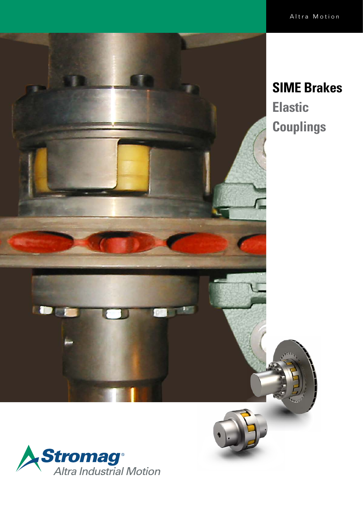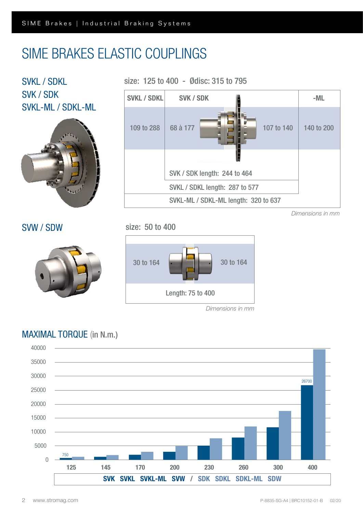# SIME BRAKES ELASTIC COUPLINGS

SVKL / SDKL SVK / SDK SVKL-ML / SDKL-ML SVW / SDW 30 to 164 30 to 164 Length: 75 to 400 *Dimensions in mm* SVKL / SDKL length: 287 to 577 SVK / SDK length: 244 to 464 SVKL-ML / SDKL-ML length: 320 to 637 SVKL / SDKL SVK / SDK - ML 109 to 288 68 à 177 **108 109 107 to 140 140 to 200** *Dimensions in mm* size: 125 to 400 - Ødisc: 315 to 795 size: 50 to 400 68 à 177

## MAXIMAL TORQUE (in N.m.)

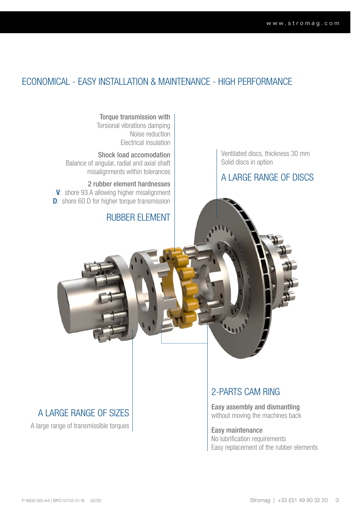## ECONOMICAL - EASY INSTALLATION & MAINTENANCE - HIGH PERFORMANCE

Torque transmission with Torsional vibrations damping Noise reduction Electrical insulation

Shock load accomodation Balance of angular, radial and axial shaft misalignments within tolerances

2 rubber element hardnesses V: shore 93 A allowing higher misalignment **D**: shore 60 D for higher torque transmission

RUBBER ELEMENT

Ventilated discs, thickness 30 mm Solid discs in option

A LARGE RANGE OF DISCS

A large range of transmissible torques

## 2-PARTS CAM RING

A LARGE RANGE OF SIZES <br>
Without moving the machines back

Easy maintenance No lubrification requirements Easy replacement of the rubber elements